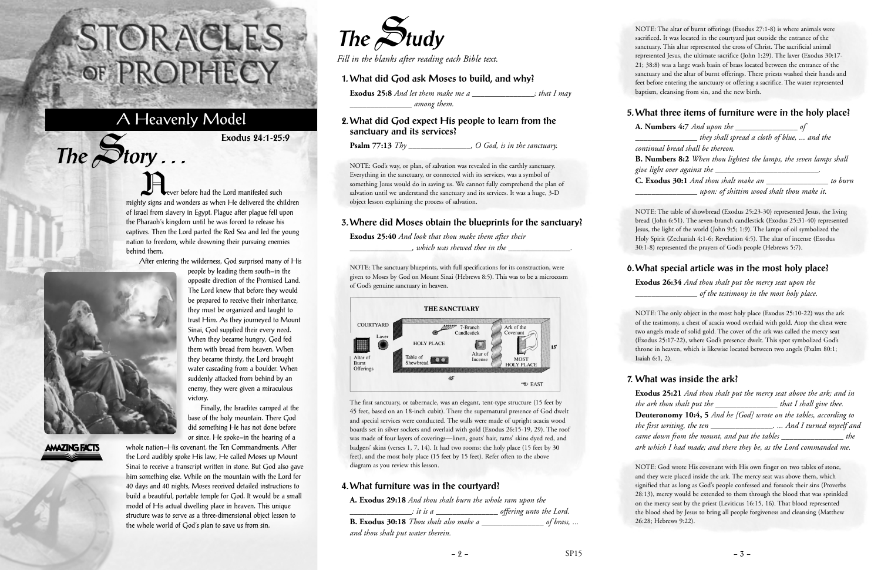Never before had the Lord manifested such mighty signs and wonders as when He delivered the children of Israel from slavery in Egypt. Plague after plague fell upon the Pharaoh's kingdom until he was forced to release his captives. Then the Lord parted the Red Sea and led the young nation to freedom, while drowning their pursuing enemies behind them.

After entering the wilderness, God surprised many of His

people by leading them south—in the opposite direction of the Promised Land. The Lord knew that before they would be prepared to receive their inheritance, they must be organized and taught to trust Him. As they journeyed to Mount Sinai, God supplied their every need. When they became hungry, God fed them with bread from heaven. When they became thirsty, the Lord brought water cascading from a boulder. When suddenly attacked from behind by an enemy, they were given a miraculous

victory.

Finally, the Israelites camped at the base of the holy mountain. There God did something He has not done before



 $The$  $S$ **tory** ...

**AMAZING FACTS** 

or since. He spoke—in the hearing of a whole nation—His covenant, the Ten Commandments. After the Lord audibly spoke His law, He called Moses up Mount Sinai to receive a transcript written in stone. But God also gave him something else. While on the mountain with the Lord for 40 days and 40 nights, Moses received detailed instructions to build a beautiful, portable temple for God. It would be a small model of His actual dwelling place in heaven. This unique structure was to serve as a three-dimensional object lesson to the whole world of God's plan to save us from sin.

# STORACLES -OF PROPHECY

## A Heavenly Model

**Exodus 24:1-25:9**

NOTE: The altar of burnt offerings (Exodus 27:1-8) is where animals were sacrificed. It was located in the courtyard just outside the entrance of the sanctuary. This altar represented the cross of Christ. The sacrificial animal represented Jesus, the ultimate sacrifice (John 1:29). The laver (Exodus 30:17- 21; 38:8) was a large wash basin of brass located between the entrance of the sanctuary and the altar of burnt offerings. There priests washed their hands and feet before entering the sanctuary or offering a sacrifice. The water represented baptism, cleansing from sin, and the new birth.

#### **5. What three items of furniture were in the holy place?**

**A. Numbers 4:7** *And upon the \_\_\_\_\_\_\_\_\_\_\_\_\_\_\_ of \_\_\_\_\_\_\_\_\_\_\_\_\_\_\_ they shall spread a cloth of blue, ... and the continual bread shall be thereon.* **B. Numbers 8:2** *When thou lightest the lamps, the seven lamps shall give light over against the \_\_\_\_\_\_\_\_\_\_\_\_\_\_\_\_\_\_\_\_\_\_\_\_\_.* **C. Exodus 30:1** *And thou shalt make an \_\_\_\_\_\_\_\_\_\_\_\_\_\_\_ to burn \_\_\_\_\_\_\_\_\_\_\_\_\_\_\_ upon: of shittim wood shalt thou make it.* 

NOTE: The table of showbread (Exodus 25:23-30) represented Jesus, the living bread (John 6:51). The seven-branch candlestick (Exodus 25:31-40) represented Jesus, the light of the world (John 9:5; 1:9). The lamps of oil symbolized the Holy Spirit (Zechariah 4:1-6; Revelation 4:5). The altar of incense (Exodus 30:1-8) represented the prayers of God's people (Hebrews 5:7).

#### **6. What special article was in the most holy place?**

**Exodus 26:34** *And thou shalt put the mercy seat upon the \_\_\_\_\_\_\_\_\_\_\_\_\_\_\_ of the testimony in the most holy place.*

NOTE: The only object in the most holy place (Exodus 25:10-22) was the ark of the testimony, a chest of acacia wood overlaid with gold. Atop the chest were two angels made of solid gold. The cover of the ark was called the mercy seat (Exodus 25:17-22), where God's presence dwelt. This spot symbolized God's throne in heaven, which is likewise located between two angels (Psalm 80:1; Isaiah 6:1, 2).

#### **7. What was inside the ark?**

**Exodus 25:21** *And thou shalt put the mercy seat above the ark; and in the ark thou shalt put the \_\_\_\_\_\_\_\_\_\_\_\_\_\_\_ that I shall give thee.* **Deuteronomy 10:4, 5** *And he [God] wrote on the tables, according to the first writing, the ten \_\_\_\_\_\_\_\_\_\_\_\_\_\_\_. ... And I turned myself and came down from the mount, and put the tables \_\_\_\_\_\_\_\_\_\_\_\_\_\_\_ the ark which I had made; and there they be, as the Lord commanded me.*

NOTE: God wrote His covenant with His own finger on two tables of stone, and they were placed inside the ark. The mercy seat was above them, which signified that as long as God's people confessed and forsook their sins (Proverbs 28:13), mercy would be extended to them through the blood that was sprinkled on the mercy seat by the priest (Leviticus 16:15, 16). That blood represented the blood shed by Jesus to bring all people forgiveness and cleansing (Matthew 26:28; Hebrews 9:22).



*Fill in the blanks after reading each Bible text.*

#### **1. What did God ask Moses to build, and why?**

**Exodus 25:8** *And let them make me a \_\_\_\_\_\_\_\_\_\_\_\_\_\_\_; that I may \_\_\_\_\_\_\_\_\_\_\_\_\_\_\_ among them.*

#### **2. What did God expect His people to learn from the sanctuary and its services?**

**Psalm 77:13** *Thy \_\_\_\_\_\_\_\_\_\_\_\_\_\_\_, O God, is in the sanctuary.*

NOTE: God's way, or plan, of salvation was revealed in the earthly sanctuary. Everything in the sanctuary, or connected with its services, was a symbol of something Jesus would do in saving us. We cannot fully comprehend the plan of salvation until we understand the sanctuary and its services. It was a huge, 3-D object lesson explaining the process of salvation.

#### **3. Where did Moses obtain the blueprints for the sanctuary?**

**Exodus 25:40** *And look that thou make them after their \_\_\_\_\_\_\_\_\_\_\_\_\_\_\_, which was shewed thee in the \_\_\_\_\_\_\_\_\_\_\_\_\_\_\_.*

NOTE: The sanctuary blueprints, with full specifications for its construction, were given to Moses by God on Mount Sinai (Hebrews 8:5). This was to be a microcosm of God's genuine sanctuary in heaven.



The first sanctuary, or tabernacle, was an elegant, tent-type structure (15 feet by 45 feet, based on an 18-inch cubit). There the supernatural presence of God dwelt and special services were conducted. The walls were made of upright acacia wood boards set in silver sockets and overlaid with gold (Exodus 26:15-19, 29). The roof was made of four layers of coverings—linen, goats' hair, rams' skins dyed red, and badgers' skins (verses 1, 7, 14). It had two rooms: the holy place (15 feet by 30 feet), and the most holy place (15 feet by 15 feet). Refer often to the above diagram as you review this lesson.

#### **4. What furniture was in the courtyard?**

**A. Exodus 29:18** *And thou shalt burn the whole ram upon the*

*\_\_\_\_\_\_\_\_\_\_\_\_\_\_\_: it is a \_\_\_\_\_\_\_\_\_\_\_\_\_\_\_ offering unto the Lord.*

**B. Exodus 30:18** *Thou shalt also make a \_\_\_\_\_\_\_\_\_\_\_\_\_\_\_ of brass, ...*

*and thou shalt put water therein.*